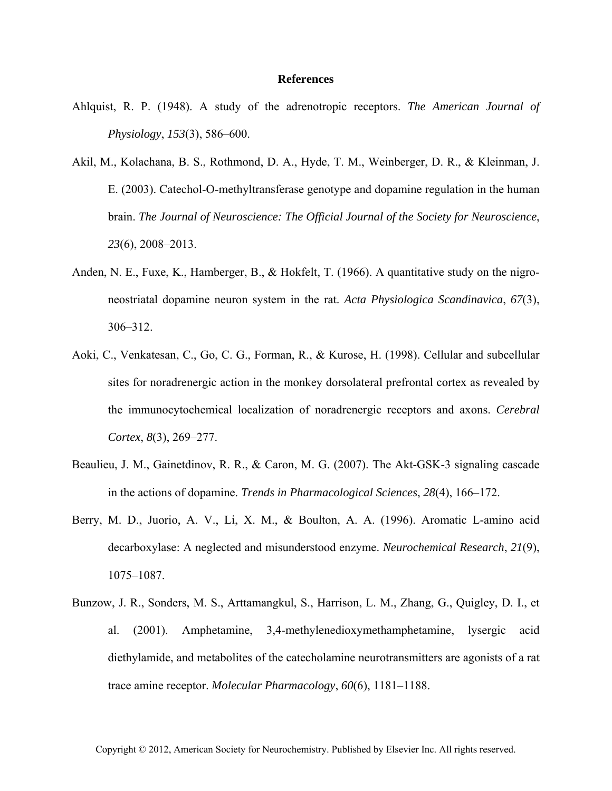## **References**

- Ahlquist, R. P. (1948). A study of the adrenotropic receptors. *The American Journal of Physiology*, *153*(3), 586–600.
- Akil, M., Kolachana, B. S., Rothmond, D. A., Hyde, T. M., Weinberger, D. R., & Kleinman, J. E. (2003). Catechol-O-methyltransferase genotype and dopamine regulation in the human brain. *The Journal of Neuroscience: The Official Journal of the Society for Neuroscience*, *23*(6), 2008–2013.
- Anden, N. E., Fuxe, K., Hamberger, B., & Hokfelt, T. (1966). A quantitative study on the nigroneostriatal dopamine neuron system in the rat. *Acta Physiologica Scandinavica*, *67*(3), 306–312.
- Aoki, C., Venkatesan, C., Go, C. G., Forman, R., & Kurose, H. (1998). Cellular and subcellular sites for noradrenergic action in the monkey dorsolateral prefrontal cortex as revealed by the immunocytochemical localization of noradrenergic receptors and axons. *Cerebral Cortex*, *8*(3), 269–277.
- Beaulieu, J. M., Gainetdinov, R. R., & Caron, M. G. (2007). The Akt-GSK-3 signaling cascade in the actions of dopamine. *Trends in Pharmacological Sciences*, *28*(4), 166–172.
- Berry, M. D., Juorio, A. V., Li, X. M., & Boulton, A. A. (1996). Aromatic L-amino acid decarboxylase: A neglected and misunderstood enzyme. *Neurochemical Research*, *21*(9), 1075–1087.
- Bunzow, J. R., Sonders, M. S., Arttamangkul, S., Harrison, L. M., Zhang, G., Quigley, D. I., et al. (2001). Amphetamine, 3,4-methylenedioxymethamphetamine, lysergic acid diethylamide, and metabolites of the catecholamine neurotransmitters are agonists of a rat trace amine receptor. *Molecular Pharmacology*, *60*(6), 1181–1188.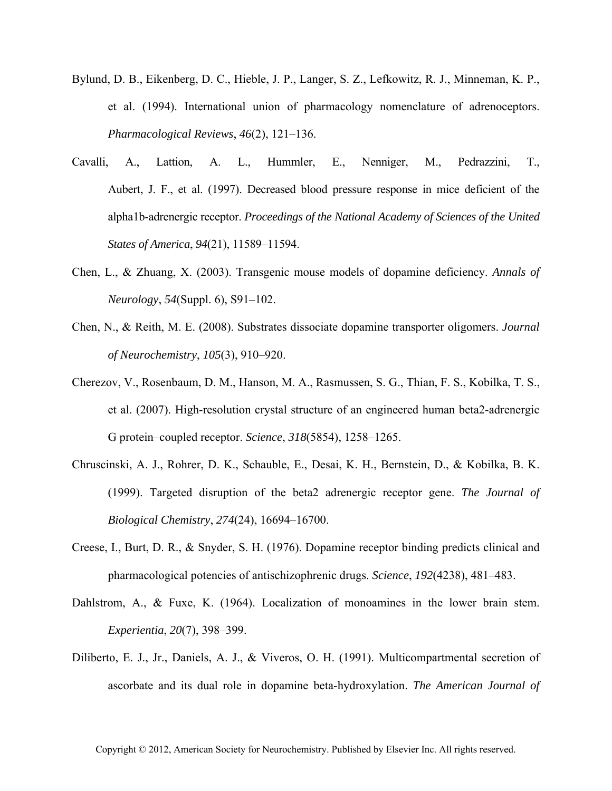- Bylund, D. B., Eikenberg, D. C., Hieble, J. P., Langer, S. Z., Lefkowitz, R. J., Minneman, K. P., et al. (1994). International union of pharmacology nomenclature of adrenoceptors. *Pharmacological Reviews*, *46*(2), 121–136.
- Cavalli, A., Lattion, A. L., Hummler, E., Nenniger, M., Pedrazzini, T., Aubert, J. F., et al. (1997). Decreased blood pressure response in mice deficient of the alpha1b-adrenergic receptor. *Proceedings of the National Academy of Sciences of the United States of America*, *94*(21), 11589–11594.
- Chen, L., & Zhuang, X. (2003). Transgenic mouse models of dopamine deficiency. *Annals of Neurology*, *54*(Suppl. 6), S91–102.
- Chen, N., & Reith, M. E. (2008). Substrates dissociate dopamine transporter oligomers. *Journal of Neurochemistry*, *105*(3), 910–920.
- Cherezov, V., Rosenbaum, D. M., Hanson, M. A., Rasmussen, S. G., Thian, F. S., Kobilka, T. S., et al. (2007). High-resolution crystal structure of an engineered human beta2-adrenergic G protein–coupled receptor. *Science*, *318*(5854), 1258–1265.
- Chruscinski, A. J., Rohrer, D. K., Schauble, E., Desai, K. H., Bernstein, D., & Kobilka, B. K. (1999). Targeted disruption of the beta2 adrenergic receptor gene. *The Journal of Biological Chemistry*, *274*(24), 16694–16700.
- Creese, I., Burt, D. R., & Snyder, S. H. (1976). Dopamine receptor binding predicts clinical and pharmacological potencies of antischizophrenic drugs. *Science*, *192*(4238), 481–483.
- Dahlstrom, A., & Fuxe, K. (1964). Localization of monoamines in the lower brain stem. *Experientia*, *20*(7), 398–399.
- Diliberto, E. J., Jr., Daniels, A. J., & Viveros, O. H. (1991). Multicompartmental secretion of ascorbate and its dual role in dopamine beta-hydroxylation. *The American Journal of*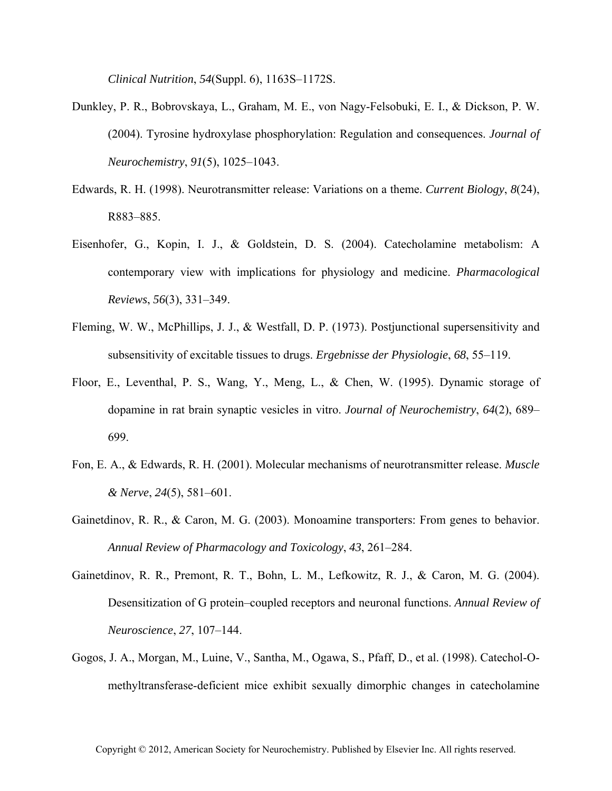*Clinical Nutrition*, *54*(Suppl. 6), 1163S–1172S.

- Dunkley, P. R., Bobrovskaya, L., Graham, M. E., von Nagy-Felsobuki, E. I., & Dickson, P. W. (2004). Tyrosine hydroxylase phosphorylation: Regulation and consequences. *Journal of Neurochemistry*, *91*(5), 1025–1043.
- Edwards, R. H. (1998). Neurotransmitter release: Variations on a theme. *Current Biology*, *8*(24), R883–885.
- Eisenhofer, G., Kopin, I. J., & Goldstein, D. S. (2004). Catecholamine metabolism: A contemporary view with implications for physiology and medicine. *Pharmacological Reviews*, *56*(3), 331–349.
- Fleming, W. W., McPhillips, J. J., & Westfall, D. P. (1973). Postjunctional supersensitivity and subsensitivity of excitable tissues to drugs. *Ergebnisse der Physiologie*, *68*, 55–119.
- Floor, E., Leventhal, P. S., Wang, Y., Meng, L., & Chen, W. (1995). Dynamic storage of dopamine in rat brain synaptic vesicles in vitro. *Journal of Neurochemistry*, *64*(2), 689– 699.
- Fon, E. A., & Edwards, R. H. (2001). Molecular mechanisms of neurotransmitter release. *Muscle & Nerve*, *24*(5), 581–601.
- Gainetdinov, R. R., & Caron, M. G. (2003). Monoamine transporters: From genes to behavior. *Annual Review of Pharmacology and Toxicology*, *43*, 261–284.
- Gainetdinov, R. R., Premont, R. T., Bohn, L. M., Lefkowitz, R. J., & Caron, M. G. (2004). Desensitization of G protein–coupled receptors and neuronal functions. *Annual Review of Neuroscience*, *27*, 107–144.
- Gogos, J. A., Morgan, M., Luine, V., Santha, M., Ogawa, S., Pfaff, D., et al. (1998). Catechol-Omethyltransferase-deficient mice exhibit sexually dimorphic changes in catecholamine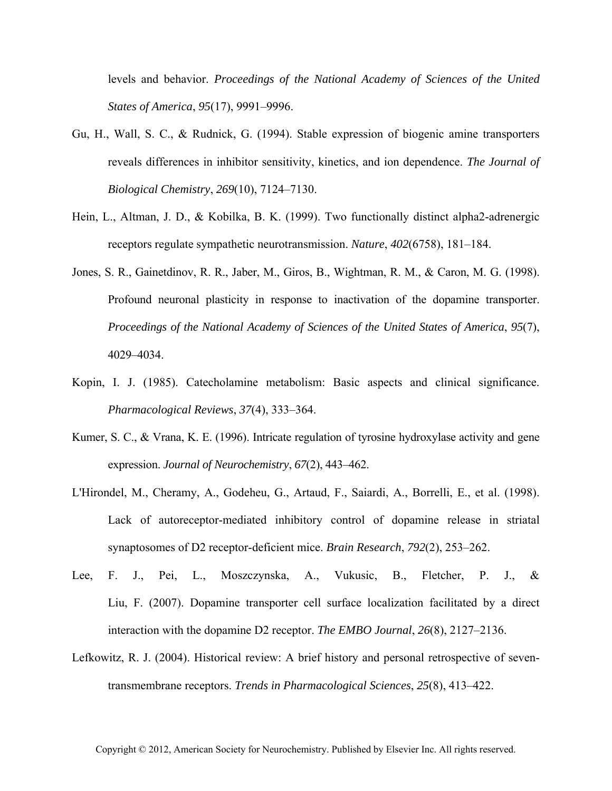levels and behavior. *Proceedings of the National Academy of Sciences of the United States of America*, *95*(17), 9991–9996.

- Gu, H., Wall, S. C., & Rudnick, G. (1994). Stable expression of biogenic amine transporters reveals differences in inhibitor sensitivity, kinetics, and ion dependence. *The Journal of Biological Chemistry*, *269*(10), 7124–7130.
- Hein, L., Altman, J. D., & Kobilka, B. K. (1999). Two functionally distinct alpha2-adrenergic receptors regulate sympathetic neurotransmission. *Nature*, *402*(6758), 181–184.
- Jones, S. R., Gainetdinov, R. R., Jaber, M., Giros, B., Wightman, R. M., & Caron, M. G. (1998). Profound neuronal plasticity in response to inactivation of the dopamine transporter. *Proceedings of the National Academy of Sciences of the United States of America*, *95*(7), 4029–4034.
- Kopin, I. J. (1985). Catecholamine metabolism: Basic aspects and clinical significance. *Pharmacological Reviews*, *37*(4), 333–364.
- Kumer, S. C., & Vrana, K. E. (1996). Intricate regulation of tyrosine hydroxylase activity and gene expression. *Journal of Neurochemistry*, *67*(2), 443–462.
- L'Hirondel, M., Cheramy, A., Godeheu, G., Artaud, F., Saiardi, A., Borrelli, E., et al. (1998). Lack of autoreceptor-mediated inhibitory control of dopamine release in striatal synaptosomes of D2 receptor-deficient mice. *Brain Research*, *792*(2), 253–262.
- Lee, F. J., Pei, L., Moszczynska, A., Vukusic, B., Fletcher, P. J., & Liu, F. (2007). Dopamine transporter cell surface localization facilitated by a direct interaction with the dopamine D2 receptor. *The EMBO Journal*, *26*(8), 2127–2136.
- Lefkowitz, R. J. (2004). Historical review: A brief history and personal retrospective of seventransmembrane receptors. *Trends in Pharmacological Sciences*, *25*(8), 413–422.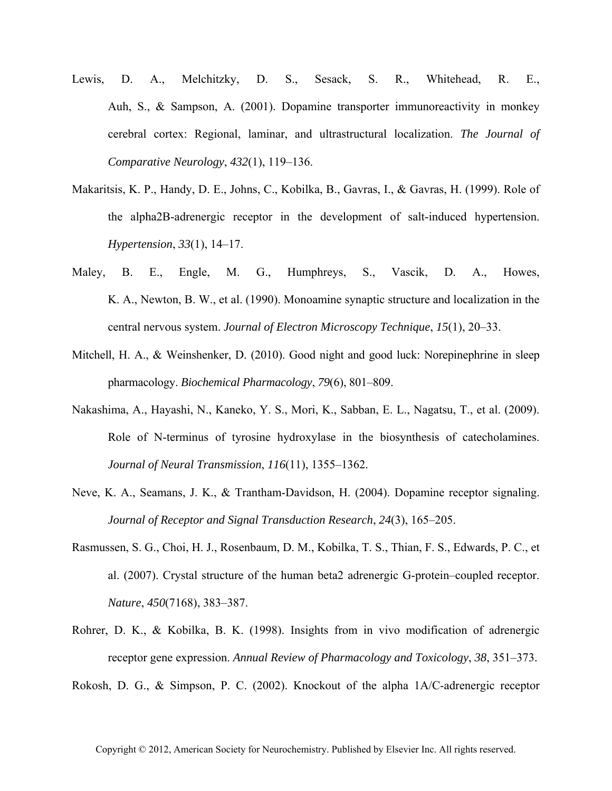- Lewis, D. A., Melchitzky, D. S., Sesack, S. R., Whitehead, R. E., Auh, S., & Sampson, A. (2001). Dopamine transporter immunoreactivity in monkey cerebral cortex: Regional, laminar, and ultrastructural localization. *The Journal of Comparative Neurology*, *432*(1), 119–136.
- Makaritsis, K. P., Handy, D. E., Johns, C., Kobilka, B., Gavras, I., & Gavras, H. (1999). Role of the alpha2B-adrenergic receptor in the development of salt-induced hypertension. *Hypertension*, *33*(1), 14–17.
- Maley, B. E., Engle, M. G., Humphreys, S., Vascik, D. A., Howes, K. A., Newton, B. W., et al. (1990). Monoamine synaptic structure and localization in the central nervous system. *Journal of Electron Microscopy Technique*, *15*(1), 20–33.
- Mitchell, H. A., & Weinshenker, D. (2010). Good night and good luck: Norepinephrine in sleep pharmacology. *Biochemical Pharmacology*, *79*(6), 801–809.
- Nakashima, A., Hayashi, N., Kaneko, Y. S., Mori, K., Sabban, E. L., Nagatsu, T., et al. (2009). Role of N-terminus of tyrosine hydroxylase in the biosynthesis of catecholamines. *Journal of Neural Transmission*, *116*(11), 1355–1362.
- Neve, K. A., Seamans, J. K., & Trantham-Davidson, H. (2004). Dopamine receptor signaling. *Journal of Receptor and Signal Transduction Research*, *24*(3), 165–205.
- Rasmussen, S. G., Choi, H. J., Rosenbaum, D. M., Kobilka, T. S., Thian, F. S., Edwards, P. C., et al. (2007). Crystal structure of the human beta2 adrenergic G-protein–coupled receptor. *Nature*, *450*(7168), 383–387.
- Rohrer, D. K., & Kobilka, B. K. (1998). Insights from in vivo modification of adrenergic receptor gene expression. *Annual Review of Pharmacology and Toxicology*, *38*, 351–373.

Rokosh, D. G., & Simpson, P. C. (2002). Knockout of the alpha 1A/C-adrenergic receptor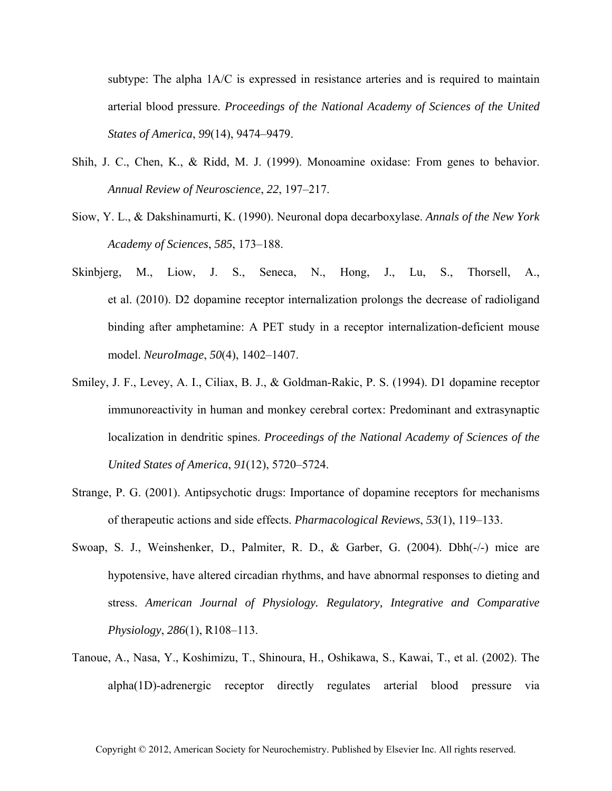subtype: The alpha 1A/C is expressed in resistance arteries and is required to maintain arterial blood pressure. *Proceedings of the National Academy of Sciences of the United States of America*, *99*(14), 9474–9479.

- Shih, J. C., Chen, K., & Ridd, M. J. (1999). Monoamine oxidase: From genes to behavior. *Annual Review of Neuroscience*, *22*, 197–217.
- Siow, Y. L., & Dakshinamurti, K. (1990). Neuronal dopa decarboxylase. *Annals of the New York Academy of Sciences*, *585*, 173–188.
- Skinbjerg, M., Liow, J. S., Seneca, N., Hong, J., Lu, S., Thorsell, A., et al. (2010). D2 dopamine receptor internalization prolongs the decrease of radioligand binding after amphetamine: A PET study in a receptor internalization-deficient mouse model. *NeuroImage*, *50*(4), 1402–1407.
- Smiley, J. F., Levey, A. I., Ciliax, B. J., & Goldman-Rakic, P. S. (1994). D1 dopamine receptor immunoreactivity in human and monkey cerebral cortex: Predominant and extrasynaptic localization in dendritic spines. *Proceedings of the National Academy of Sciences of the United States of America*, *91*(12), 5720–5724.
- Strange, P. G. (2001). Antipsychotic drugs: Importance of dopamine receptors for mechanisms of therapeutic actions and side effects. *Pharmacological Reviews*, *53*(1), 119–133.
- Swoap, S. J., Weinshenker, D., Palmiter, R. D., & Garber, G. (2004). Dbh(-/-) mice are hypotensive, have altered circadian rhythms, and have abnormal responses to dieting and stress. *American Journal of Physiology. Regulatory, Integrative and Comparative Physiology*, *286*(1), R108–113.
- Tanoue, A., Nasa, Y., Koshimizu, T., Shinoura, H., Oshikawa, S., Kawai, T., et al. (2002). The alpha(1D)-adrenergic receptor directly regulates arterial blood pressure via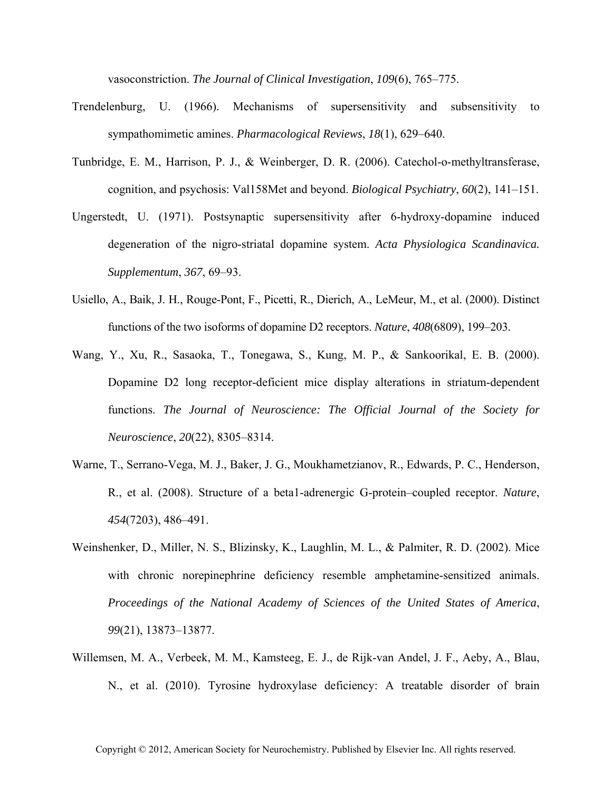vasoconstriction. *The Journal of Clinical Investigation*, *109*(6), 765–775.

- Trendelenburg, U. (1966). Mechanisms of supersensitivity and subsensitivity to sympathomimetic amines. *Pharmacological Reviews*, *18*(1), 629–640.
- Tunbridge, E. M., Harrison, P. J., & Weinberger, D. R. (2006). Catechol-o-methyltransferase, cognition, and psychosis: Val158Met and beyond. *Biological Psychiatry*, *60*(2), 141–151.
- Ungerstedt, U. (1971). Postsynaptic supersensitivity after 6-hydroxy-dopamine induced degeneration of the nigro-striatal dopamine system. *Acta Physiologica Scandinavica. Supplementum*, *367*, 69–93.
- Usiello, A., Baik, J. H., Rouge-Pont, F., Picetti, R., Dierich, A., LeMeur, M., et al. (2000). Distinct functions of the two isoforms of dopamine D2 receptors. *Nature*, *408*(6809), 199–203.
- Wang, Y., Xu, R., Sasaoka, T., Tonegawa, S., Kung, M. P., & Sankoorikal, E. B. (2000). Dopamine D2 long receptor-deficient mice display alterations in striatum-dependent functions. *The Journal of Neuroscience: The Official Journal of the Society for Neuroscience*, *20*(22), 8305–8314.
- Warne, T., Serrano-Vega, M. J., Baker, J. G., Moukhametzianov, R., Edwards, P. C., Henderson, R., et al. (2008). Structure of a beta1-adrenergic G-protein–coupled receptor. *Nature*, *454*(7203), 486–491.
- Weinshenker, D., Miller, N. S., Blizinsky, K., Laughlin, M. L., & Palmiter, R. D. (2002). Mice with chronic norepinephrine deficiency resemble amphetamine-sensitized animals. *Proceedings of the National Academy of Sciences of the United States of America*, *99*(21), 13873–13877.
- Willemsen, M. A., Verbeek, M. M., Kamsteeg, E. J., de Rijk-van Andel, J. F., Aeby, A., Blau, N., et al. (2010). Tyrosine hydroxylase deficiency: A treatable disorder of brain